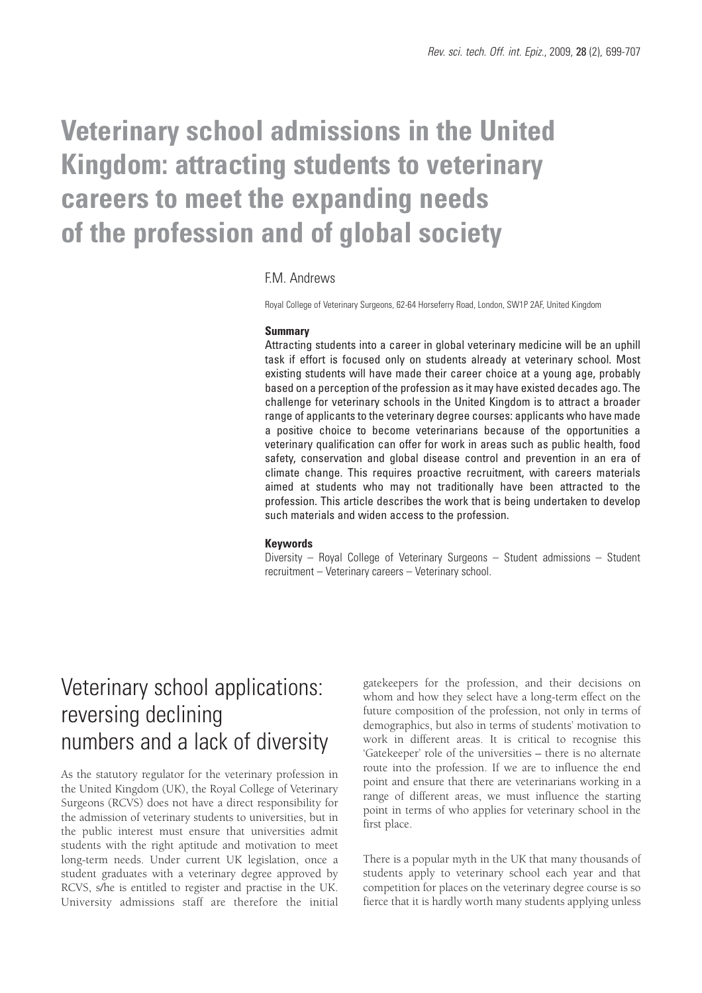# **Veterinary school admissions in the United Kingdom: attracting students to veterinary careers to meet the expanding needs of the profession and of global society**

### F.M. Andrews

Royal College of Veterinary Surgeons, 62-64 Horseferry Road, London, SW1P 2AF, United Kingdom

#### **Summary**

Attracting students into a career in global veterinary medicine will be an uphill task if effort is focused only on students already at veterinary school. Most existing students will have made their career choice at a young age, probably based on a perception of the profession as it may have existed decades ago. The challenge for veterinary schools in the United Kingdom is to attract a broader range of applicants to the veterinary degree courses: applicants who have made a positive choice to become veterinarians because of the opportunities a veterinary qualification can offer for work in areas such as public health, food safety, conservation and global disease control and prevention in an era of climate change. This requires proactive recruitment, with careers materials aimed at students who may not traditionally have been attracted to the profession. This article describes the work that is being undertaken to develop such materials and widen access to the profession.

#### **Keywords**

Diversity – Royal College of Veterinary Surgeons – Student admissions – Student recruitment – Veterinary careers – Veterinary school.

## Veterinary school applications: reversing declining numbers and a lack of diversity

As the statutory regulator for the veterinary profession in the United Kingdom (UK), the Royal College of Veterinary Surgeons (RCVS) does not have a direct responsibility for the admission of veterinary students to universities, but in the public interest must ensure that universities admit students with the right aptitude and motivation to meet long-term needs. Under current UK legislation, once a student graduates with a veterinary degree approved by RCVS, s/he is entitled to register and practise in the UK. University admissions staff are therefore the initial

gatekeepers for the profession, and their decisions on whom and how they select have a long-term effect on the future composition of the profession, not only in terms of demographics, but also in terms of students' motivation to work in different areas. It is critical to recognise this 'Gatekeeper' role of the universities – there is no alternate route into the profession. If we are to influence the end point and ensure that there are veterinarians working in a range of different areas, we must influence the starting point in terms of who applies for veterinary school in the first place.

There is a popular myth in the UK that many thousands of students apply to veterinary school each year and that competition for places on the veterinary degree course is so fierce that it is hardly worth many students applying unless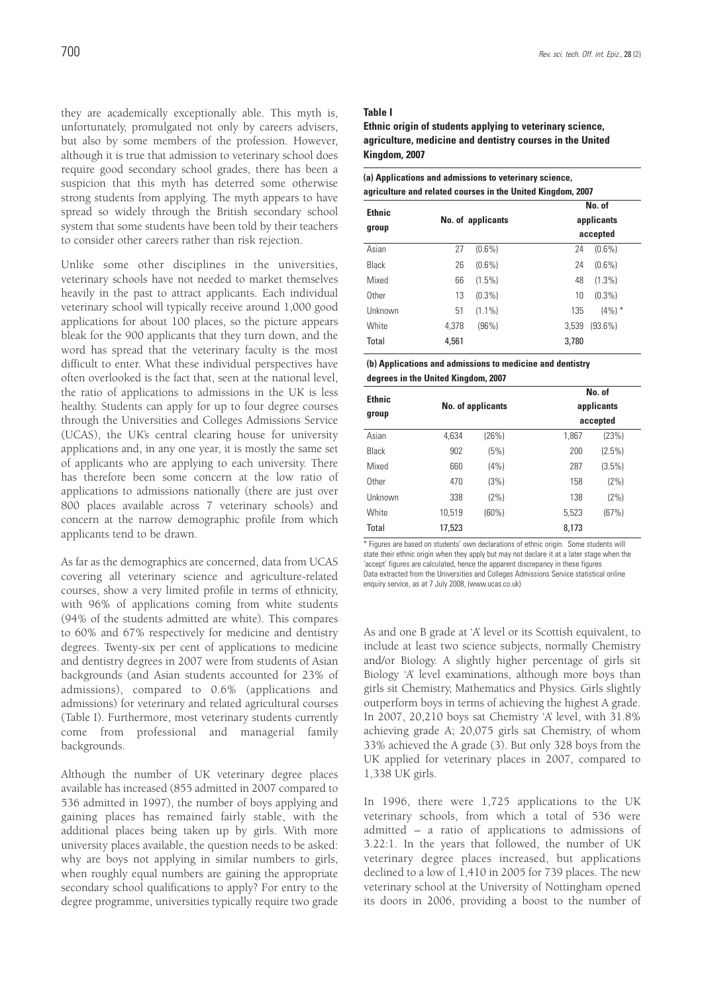they are academically exceptionally able. This myth is, unfortunately, promulgated not only by careers advisers, but also by some members of the profession. However, although it is true that admission to veterinary school does require good secondary school grades, there has been a suspicion that this myth has deterred some otherwise strong students from applying. The myth appears to have spread so widely through the British secondary school system that some students have been told by their teachers to consider other careers rather than risk rejection.

Unlike some other disciplines in the universities, veterinary schools have not needed to market themselves heavily in the past to attract applicants. Each individual veterinary school will typically receive around 1,000 good applications for about 100 places, so the picture appears bleak for the 900 applicants that they turn down, and the word has spread that the veterinary faculty is the most difficult to enter. What these individual perspectives have often overlooked is the fact that, seen at the national level, the ratio of applications to admissions in the UK is less healthy. Students can apply for up to four degree courses through the Universities and Colleges Admissions Service (UCAS), the UK's central clearing house for university applications and, in any one year, it is mostly the same set of applicants who are applying to each university. There has therefore been some concern at the low ratio of applications to admissions nationally (there are just over 800 places available across 7 veterinary schools) and concern at the narrow demographic profile from which applicants tend to be drawn.

As far as the demographics are concerned, data from UCAS covering all veterinary science and agriculture-related courses, show a very limited profile in terms of ethnicity, with 96% of applications coming from white students (94% of the students admitted are white). This compares to 60% and 67% respectively for medicine and dentistry degrees. Twenty-six per cent of applications to medicine and dentistry degrees in 2007 were from students of Asian backgrounds (and Asian students accounted for 23% of admissions), compared to 0.6% (applications and admissions) for veterinary and related agricultural courses (Table I). Furthermore, most veterinary students currently come from professional and managerial family backgrounds.

Although the number of UK veterinary degree places available has increased (855 admitted in 2007 compared to 536 admitted in 1997), the number of boys applying and gaining places has remained fairly stable, with the additional places being taken up by girls. With more university places available, the question needs to be asked: why are boys not applying in similar numbers to girls, when roughly equal numbers are gaining the appropriate secondary school qualifications to apply? For entry to the degree programme, universities typically require two grade

#### **Table I**

**Ethnic origin of students applying to veterinary science, agriculture, medicine and dentistry courses in the United Kingdom, 2007**

| <b>Ethnic</b> |                   |           | No. of                 |            |  |
|---------------|-------------------|-----------|------------------------|------------|--|
| group         | No. of applicants |           | applicants<br>accepted |            |  |
|               |                   |           |                        |            |  |
| <b>Black</b>  | 26                | $(0.6\%)$ | 24                     | $(0.6\%)$  |  |
| Mixed         | 66                | $(1.5\%)$ | 48                     | $(1.3\%)$  |  |
| Other         | 13                | $(0.3\%)$ | 10                     | $(0.3\%)$  |  |
| Unknown       | 51                | $(1.1\%)$ | 135                    | $(4\%)$ *  |  |
| White         | 4.378             | (96%)     | 3.539                  | $(93.6\%)$ |  |
| Total         | 4,561             |           | 3,780                  |            |  |

| (b) Applications and admissions to medicine and dentistry |
|-----------------------------------------------------------|
| degrees in the United Kingdom, 2007                       |

| <b>Ethnic</b><br>group | No. of applicants |         |       | No. of<br>applicants<br>accepted |  |  |
|------------------------|-------------------|---------|-------|----------------------------------|--|--|
| Asian                  | 4,634             | (26%)   | 1,867 | (23%)                            |  |  |
| Black                  | 902               | (5%)    | 200   | $(2.5\%)$                        |  |  |
| Mixed                  | 660               | (4% )   | 287   | $(3.5\%)$                        |  |  |
| Other                  | 470               | (3%)    | 158   | $(2\%)$                          |  |  |
| Unknown                | 338               | $(2\%)$ | 138   | (2%)                             |  |  |
| White                  | 10.519            | (60%)   | 5.523 | (67%)                            |  |  |
| Total                  | 17,523            |         | 8,173 |                                  |  |  |

\* Figures are based on students' own declarations of ethnic origin. Some students will state their ethnic origin when they apply but may not declare it at a later stage when the 'accept' figures are calculated, hence the apparent discrepancy in these figures Data extracted from the Universities and Colleges Admissions Service statistical online enquiry service, as at 7 July 2008, (www.ucas.co.uk)

As and one B grade at 'A' level or its Scottish equivalent, to include at least two science subjects, normally Chemistry and/or Biology. A slightly higher percentage of girls sit Biology 'A' level examinations, although more boys than girls sit Chemistry, Mathematics and Physics. Girls slightly outperform boys in terms of achieving the highest A grade. In 2007, 20,210 boys sat Chemistry 'A' level, with 31.8% achieving grade A; 20,075 girls sat Chemistry, of whom 33% achieved the A grade (3). But only 328 boys from the UK applied for veterinary places in 2007, compared to 1,338 UK girls.

In 1996, there were 1,725 applications to the UK veterinary schools, from which a total of 536 were admitted – a ratio of applications to admissions of 3.22:1. In the years that followed, the number of UK veterinary degree places increased, but applications declined to a low of 1,410 in 2005 for 739 places. The new veterinary school at the University of Nottingham opened its doors in 2006, providing a boost to the number of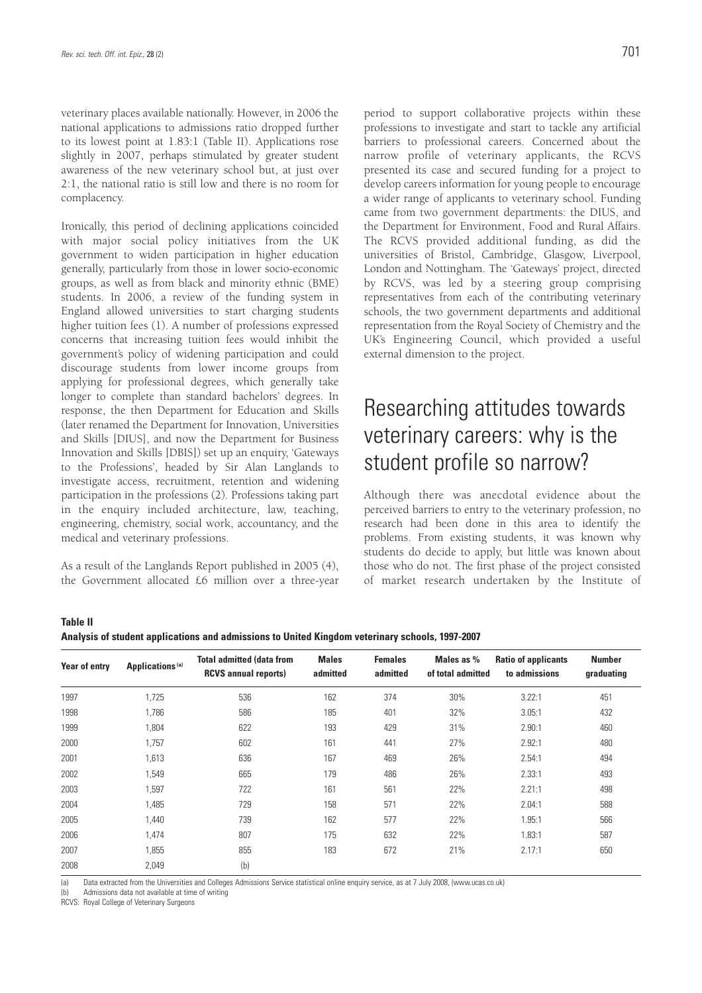veterinary places available nationally. However, in 2006 the national applications to admissions ratio dropped further to its lowest point at 1.83:1 (Table II). Applications rose slightly in 2007, perhaps stimulated by greater student awareness of the new veterinary school but, at just over 2:1, the national ratio is still low and there is no room for complacency.

Ironically, this period of declining applications coincided with major social policy initiatives from the UK government to widen participation in higher education generally, particularly from those in lower socio-economic groups, as well as from black and minority ethnic (BME) students. In 2006, a review of the funding system in England allowed universities to start charging students higher tuition fees (1). A number of professions expressed concerns that increasing tuition fees would inhibit the government's policy of widening participation and could discourage students from lower income groups from applying for professional degrees, which generally take longer to complete than standard bachelors' degrees. In response, the then Department for Education and Skills (later renamed the Department for Innovation, Universities and Skills [DIUS], and now the Department for Business Innovation and Skills [DBIS]) set up an enquiry, 'Gateways to the Professions', headed by Sir Alan Langlands to investigate access, recruitment, retention and widening participation in the professions (2). Professions taking part in the enquiry included architecture, law, teaching, engineering, chemistry, social work, accountancy, and the medical and veterinary professions.

As a result of the Langlands Report published in 2005 (4), the Government allocated £6 million over a three-year

period to support collaborative projects within these professions to investigate and start to tackle any artificial barriers to professional careers. Concerned about the narrow profile of veterinary applicants, the RCVS presented its case and secured funding for a project to develop careers information for young people to encourage a wider range of applicants to veterinary school. Funding came from two government departments: the DIUS, and the Department for Environment, Food and Rural Affairs. The RCVS provided additional funding, as did the universities of Bristol, Cambridge, Glasgow, Liverpool, London and Nottingham. The 'Gateways' project, directed by RCVS, was led by a steering group comprising representatives from each of the contributing veterinary schools, the two government departments and additional representation from the Royal Society of Chemistry and the UK's Engineering Council, which provided a useful external dimension to the project.

## Researching attitudes towards veterinary careers: why is the student profile so narrow?

Although there was anecdotal evidence about the perceived barriers to entry to the veterinary profession, no research had been done in this area to identify the problems. From existing students, it was known why students do decide to apply, but little was known about those who do not. The first phase of the project consisted of market research undertaken by the Institute of

**Table II Analysis of student applications and admissions to United Kingdom veterinary schools, 1997-2007**

| <b>Year of entry</b> | Applications <sup>(a)</sup> | <b>Total admitted (data from</b><br><b>RCVS annual reports)</b> | <b>Males</b><br>admitted | <b>Females</b><br>admitted | Males as %<br>of total admitted | <b>Ratio of applicants</b><br>to admissions | <b>Number</b><br>graduating |
|----------------------|-----------------------------|-----------------------------------------------------------------|--------------------------|----------------------------|---------------------------------|---------------------------------------------|-----------------------------|
| 1997                 | 1,725                       | 536                                                             | 162                      | 374                        | 30%                             | 3.22:1                                      | 451                         |
| 1998                 | 1,786                       | 586                                                             | 185                      | 401                        | 32%                             | 3.05:1                                      | 432                         |
| 1999                 | 1,804                       | 622                                                             | 193                      | 429                        | 31%                             | 2.90:1                                      | 460                         |
| 2000                 | 1,757                       | 602                                                             | 161                      | 441                        | 27%                             | 2.92:1                                      | 480                         |
| 2001                 | 1,613                       | 636                                                             | 167                      | 469                        | 26%                             | 2.54:1                                      | 494                         |
| 2002                 | 1,549                       | 665                                                             | 179                      | 486                        | 26%                             | 2.33:1                                      | 493                         |
| 2003                 | 1,597                       | 722                                                             | 161                      | 561                        | 22%                             | 2.21:1                                      | 498                         |
| 2004                 | 1,485                       | 729                                                             | 158                      | 571                        | 22%                             | 2.04:1                                      | 588                         |
| 2005                 | 1,440                       | 739                                                             | 162                      | 577                        | 22%                             | 1.95:1                                      | 566                         |
| 2006                 | 1,474                       | 807                                                             | 175                      | 632                        | 22%                             | 1.83:1                                      | 587                         |
| 2007                 | 1,855                       | 855                                                             | 183                      | 672                        | 21%                             | 2.17:1                                      | 650                         |
| 2008                 | 2,049                       | (b)                                                             |                          |                            |                                 |                                             |                             |

(a) Data extracted from the Universities and Colleges Admissions Service statistical online enquiry service, as at 7 July 2008, (www.ucas.co.uk)

(b) Admissions data not available at time of writing

RCVS: Royal College of Veterinary Surgeons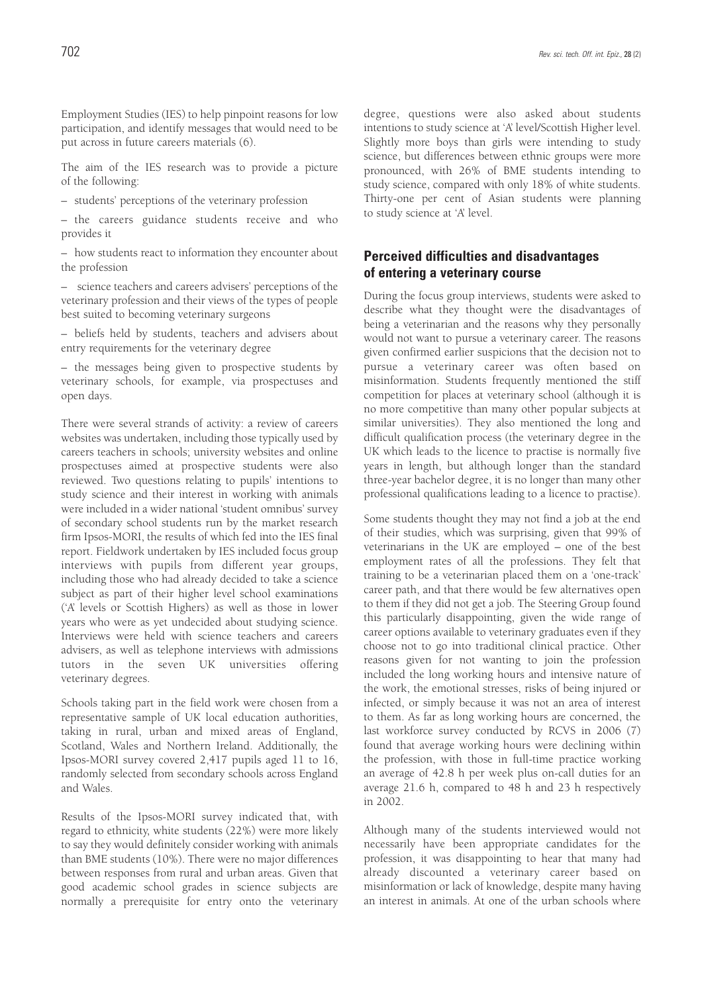Employment Studies (IES) to help pinpoint reasons for low participation, and identify messages that would need to be put across in future careers materials (6).

The aim of the IES research was to provide a picture of the following:

– students' perceptions of the veterinary profession

– the careers guidance students receive and who provides it

– how students react to information they encounter about the profession

– science teachers and careers advisers' perceptions of the veterinary profession and their views of the types of people best suited to becoming veterinary surgeons

– beliefs held by students, teachers and advisers about entry requirements for the veterinary degree

– the messages being given to prospective students by veterinary schools, for example, via prospectuses and open days.

There were several strands of activity: a review of careers websites was undertaken, including those typically used by careers teachers in schools; university websites and online prospectuses aimed at prospective students were also reviewed. Two questions relating to pupils' intentions to study science and their interest in working with animals were included in a wider national 'student omnibus' survey of secondary school students run by the market research firm Ipsos-MORI, the results of which fed into the IES final report. Fieldwork undertaken by IES included focus group interviews with pupils from different year groups, including those who had already decided to take a science subject as part of their higher level school examinations ('A' levels or Scottish Highers) as well as those in lower years who were as yet undecided about studying science. Interviews were held with science teachers and careers advisers, as well as telephone interviews with admissions tutors in the seven UK universities offering veterinary degrees.

Schools taking part in the field work were chosen from a representative sample of UK local education authorities, taking in rural, urban and mixed areas of England, Scotland, Wales and Northern Ireland. Additionally, the Ipsos-MORI survey covered 2,417 pupils aged 11 to 16, randomly selected from secondary schools across England and Wales.

Results of the Ipsos-MORI survey indicated that, with regard to ethnicity, white students (22%) were more likely to say they would definitely consider working with animals than BME students (10%). There were no major differences between responses from rural and urban areas. Given that good academic school grades in science subjects are normally a prerequisite for entry onto the veterinary degree, questions were also asked about students intentions to study science at 'A' level/Scottish Higher level. Slightly more boys than girls were intending to study science, but differences between ethnic groups were more pronounced, with 26% of BME students intending to study science, compared with only 18% of white students. Thirty-one per cent of Asian students were planning to study science at 'A' level.

### **Perceived difficulties and disadvantages of entering a veterinary course**

During the focus group interviews, students were asked to describe what they thought were the disadvantages of being a veterinarian and the reasons why they personally would not want to pursue a veterinary career. The reasons given confirmed earlier suspicions that the decision not to pursue a veterinary career was often based on misinformation. Students frequently mentioned the stiff competition for places at veterinary school (although it is no more competitive than many other popular subjects at similar universities). They also mentioned the long and difficult qualification process (the veterinary degree in the UK which leads to the licence to practise is normally five years in length, but although longer than the standard three-year bachelor degree, it is no longer than many other professional qualifications leading to a licence to practise).

Some students thought they may not find a job at the end of their studies, which was surprising, given that 99% of veterinarians in the UK are employed – one of the best employment rates of all the professions. They felt that training to be a veterinarian placed them on a 'one-track' career path, and that there would be few alternatives open to them if they did not get a job. The Steering Group found this particularly disappointing, given the wide range of career options available to veterinary graduates even if they choose not to go into traditional clinical practice. Other reasons given for not wanting to join the profession included the long working hours and intensive nature of the work, the emotional stresses, risks of being injured or infected, or simply because it was not an area of interest to them. As far as long working hours are concerned, the last workforce survey conducted by RCVS in 2006 (7) found that average working hours were declining within the profession, with those in full-time practice working an average of 42.8 h per week plus on-call duties for an average 21.6 h, compared to 48 h and 23 h respectively in 2002.

Although many of the students interviewed would not necessarily have been appropriate candidates for the profession, it was disappointing to hear that many had already discounted a veterinary career based on misinformation or lack of knowledge, despite many having an interest in animals. At one of the urban schools where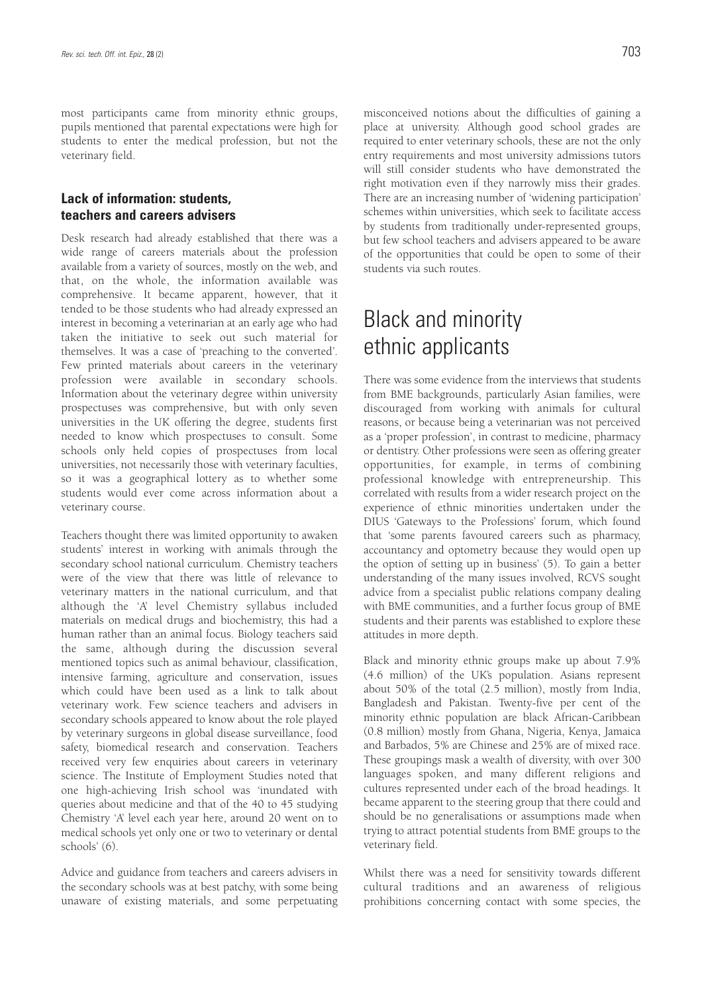most participants came from minority ethnic groups, pupils mentioned that parental expectations were high for students to enter the medical profession, but not the veterinary field.

### **Lack of information: students, teachers and careers advisers**

Desk research had already established that there was a wide range of careers materials about the profession available from a variety of sources, mostly on the web, and that, on the whole, the information available was comprehensive. It became apparent, however, that it tended to be those students who had already expressed an interest in becoming a veterinarian at an early age who had taken the initiative to seek out such material for themselves. It was a case of 'preaching to the converted'. Few printed materials about careers in the veterinary profession were available in secondary schools. Information about the veterinary degree within university prospectuses was comprehensive, but with only seven universities in the UK offering the degree, students first needed to know which prospectuses to consult. Some schools only held copies of prospectuses from local universities, not necessarily those with veterinary faculties, so it was a geographical lottery as to whether some students would ever come across information about a veterinary course.

Teachers thought there was limited opportunity to awaken students' interest in working with animals through the secondary school national curriculum. Chemistry teachers were of the view that there was little of relevance to veterinary matters in the national curriculum, and that although the 'A' level Chemistry syllabus included materials on medical drugs and biochemistry, this had a human rather than an animal focus. Biology teachers said the same, although during the discussion several mentioned topics such as animal behaviour, classification, intensive farming, agriculture and conservation, issues which could have been used as a link to talk about veterinary work. Few science teachers and advisers in secondary schools appeared to know about the role played by veterinary surgeons in global disease surveillance, food safety, biomedical research and conservation. Teachers received very few enquiries about careers in veterinary science. The Institute of Employment Studies noted that one high-achieving Irish school was 'inundated with queries about medicine and that of the 40 to 45 studying Chemistry 'A' level each year here, around 20 went on to medical schools yet only one or two to veterinary or dental schools' (6).

Advice and guidance from teachers and careers advisers in the secondary schools was at best patchy, with some being unaware of existing materials, and some perpetuating misconceived notions about the difficulties of gaining a place at university. Although good school grades are required to enter veterinary schools, these are not the only entry requirements and most university admissions tutors will still consider students who have demonstrated the right motivation even if they narrowly miss their grades. There are an increasing number of 'widening participation' schemes within universities, which seek to facilitate access by students from traditionally under-represented groups, but few school teachers and advisers appeared to be aware of the opportunities that could be open to some of their students via such routes.

## Black and minority ethnic applicants

There was some evidence from the interviews that students from BME backgrounds, particularly Asian families, were discouraged from working with animals for cultural reasons, or because being a veterinarian was not perceived as a 'proper profession', in contrast to medicine, pharmacy or dentistry. Other professions were seen as offering greater opportunities, for example, in terms of combining professional knowledge with entrepreneurship. This correlated with results from a wider research project on the experience of ethnic minorities undertaken under the DIUS 'Gateways to the Professions' forum, which found that 'some parents favoured careers such as pharmacy, accountancy and optometry because they would open up the option of setting up in business' (5). To gain a better understanding of the many issues involved, RCVS sought advice from a specialist public relations company dealing with BME communities, and a further focus group of BME students and their parents was established to explore these attitudes in more depth.

Black and minority ethnic groups make up about 7.9% (4.6 million) of the UK's population. Asians represent about 50% of the total (2.5 million), mostly from India, Bangladesh and Pakistan. Twenty-five per cent of the minority ethnic population are black African-Caribbean (0.8 million) mostly from Ghana, Nigeria, Kenya, Jamaica and Barbados, 5% are Chinese and 25% are of mixed race. These groupings mask a wealth of diversity, with over 300 languages spoken, and many different religions and cultures represented under each of the broad headings. It became apparent to the steering group that there could and should be no generalisations or assumptions made when trying to attract potential students from BME groups to the veterinary field.

Whilst there was a need for sensitivity towards different cultural traditions and an awareness of religious prohibitions concerning contact with some species, the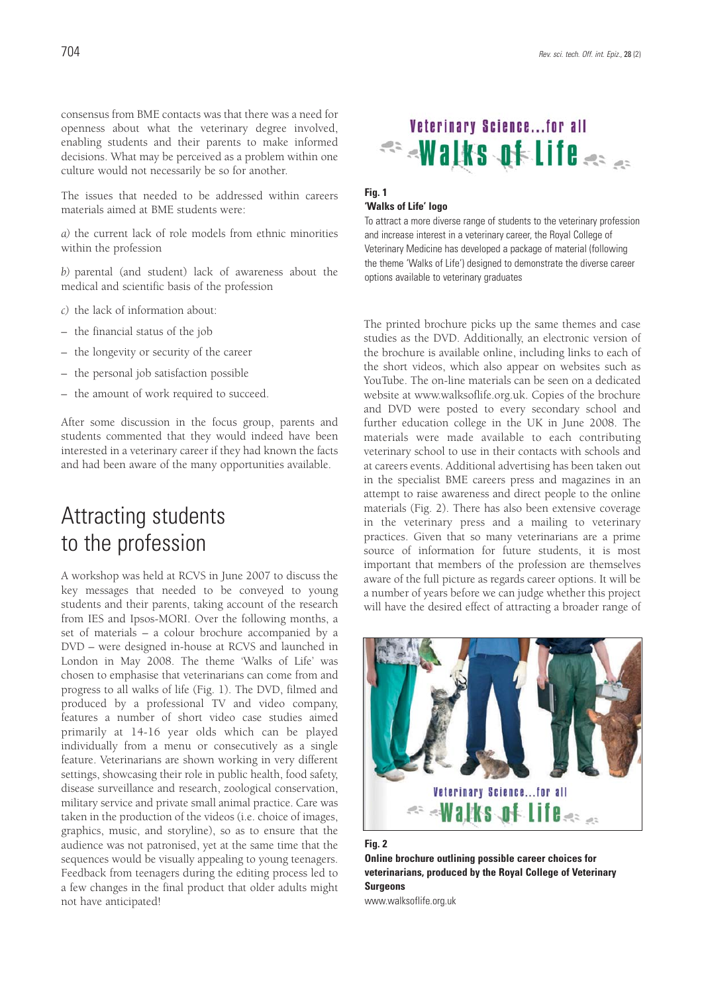consensus from BME contacts was that there was a need for openness about what the veterinary degree involved, enabling students and their parents to make informed decisions. What may be perceived as a problem within one culture would not necessarily be so for another.

The issues that needed to be addressed within careers materials aimed at BME students were:

*a)* the current lack of role models from ethnic minorities within the profession

*b)* parental (and student) lack of awareness about the medical and scientific basis of the profession

- *c)* the lack of information about:
- the financial status of the job
- the longevity or security of the career
- the personal job satisfaction possible
- the amount of work required to succeed.

After some discussion in the focus group, parents and students commented that they would indeed have been interested in a veterinary career if they had known the facts and had been aware of the many opportunities available.

## Attracting students to the profession

A workshop was held at RCVS in June 2007 to discuss the key messages that needed to be conveyed to young students and their parents, taking account of the research from IES and Ipsos-MORI. Over the following months, a set of materials – a colour brochure accompanied by a DVD – were designed in-house at RCVS and launched in London in May 2008. The theme 'Walks of Life' was chosen to emphasise that veterinarians can come from and progress to all walks of life (Fig. 1). The DVD, filmed and produced by a professional TV and video company, features a number of short video case studies aimed primarily at 14-16 year olds which can be played individually from a menu or consecutively as a single feature. Veterinarians are shown working in very different settings, showcasing their role in public health, food safety, disease surveillance and research, zoological conservation, military service and private small animal practice. Care was taken in the production of the videos (i.e. choice of images, graphics, music, and storyline), so as to ensure that the audience was not patronised, yet at the same time that the sequences would be visually appealing to young teenagers. Feedback from teenagers during the editing process led to a few changes in the final product that older adults might not have anticipated!



### **Fig. 1 'Walks of Life' logo**

To attract a more diverse range of students to the veterinary profession and increase interest in a veterinary career, the Royal College of Veterinary Medicine has developed a package of material (following the theme 'Walks of Life') designed to demonstrate the diverse career options available to veterinary graduates

The printed brochure picks up the same themes and case studies as the DVD. Additionally, an electronic version of the brochure is available online, including links to each of the short videos, which also appear on websites such as YouTube. The on-line materials can be seen on a dedicated website at www.walksoflife.org.uk. Copies of the brochure and DVD were posted to every secondary school and further education college in the UK in June 2008. The materials were made available to each contributing veterinary school to use in their contacts with schools and at careers events. Additional advertising has been taken out in the specialist BME careers press and magazines in an attempt to raise awareness and direct people to the online materials (Fig. 2). There has also been extensive coverage in the veterinary press and a mailing to veterinary practices. Given that so many veterinarians are a prime source of information for future students, it is most important that members of the profession are themselves aware of the full picture as regards career options. It will be a number of years before we can judge whether this project will have the desired effect of attracting a broader range of



#### **Fig. 2**

**Online brochure outlining possible career choices for veterinarians, produced by the Royal College of Veterinary Surgeons** 

www.walksoflife.org.uk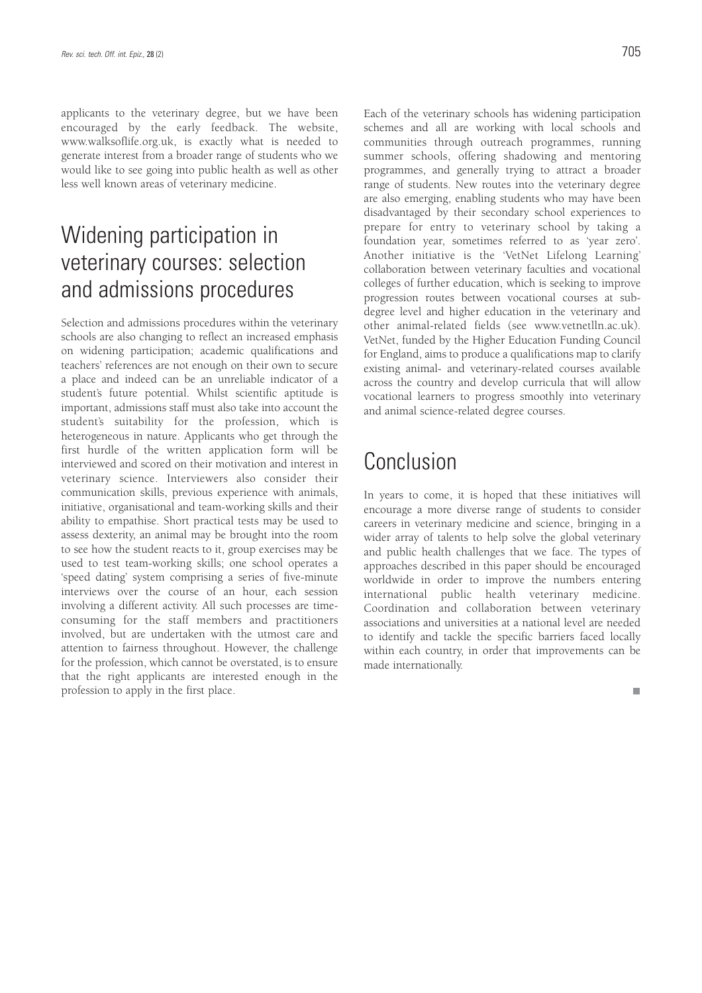applicants to the veterinary degree, but we have been encouraged by the early feedback. The website, www.walksoflife.org.uk, is exactly what is needed to generate interest from a broader range of students who we would like to see going into public health as well as other less well known areas of veterinary medicine.

## Widening participation in veterinary courses: selection and admissions procedures

Selection and admissions procedures within the veterinary schools are also changing to reflect an increased emphasis on widening participation; academic qualifications and teachers' references are not enough on their own to secure a place and indeed can be an unreliable indicator of a student's future potential. Whilst scientific aptitude is important, admissions staff must also take into account the student's suitability for the profession, which is heterogeneous in nature. Applicants who get through the first hurdle of the written application form will be interviewed and scored on their motivation and interest in veterinary science. Interviewers also consider their communication skills, previous experience with animals, initiative, organisational and team-working skills and their ability to empathise. Short practical tests may be used to assess dexterity, an animal may be brought into the room to see how the student reacts to it, group exercises may be used to test team-working skills; one school operates a 'speed dating' system comprising a series of five-minute interviews over the course of an hour, each session involving a different activity. All such processes are timeconsuming for the staff members and practitioners involved, but are undertaken with the utmost care and attention to fairness throughout. However, the challenge for the profession, which cannot be overstated, is to ensure that the right applicants are interested enough in the profession to apply in the first place.

Each of the veterinary schools has widening participation schemes and all are working with local schools and communities through outreach programmes, running summer schools, offering shadowing and mentoring programmes, and generally trying to attract a broader range of students. New routes into the veterinary degree are also emerging, enabling students who may have been disadvantaged by their secondary school experiences to prepare for entry to veterinary school by taking a foundation year, sometimes referred to as 'year zero'. Another initiative is the 'VetNet Lifelong Learning' collaboration between veterinary faculties and vocational colleges of further education, which is seeking to improve progression routes between vocational courses at subdegree level and higher education in the veterinary and other animal-related fields (see www.vetnetlln.ac.uk). VetNet, funded by the Higher Education Funding Council for England, aims to produce a qualifications map to clarify existing animal- and veterinary-related courses available across the country and develop curricula that will allow vocational learners to progress smoothly into veterinary and animal science-related degree courses.

## Conclusion

In years to come, it is hoped that these initiatives will encourage a more diverse range of students to consider careers in veterinary medicine and science, bringing in a wider array of talents to help solve the global veterinary and public health challenges that we face. The types of approaches described in this paper should be encouraged worldwide in order to improve the numbers entering international public health veterinary medicine. Coordination and collaboration between veterinary associations and universities at a national level are needed to identify and tackle the specific barriers faced locally within each country, in order that improvements can be made internationally.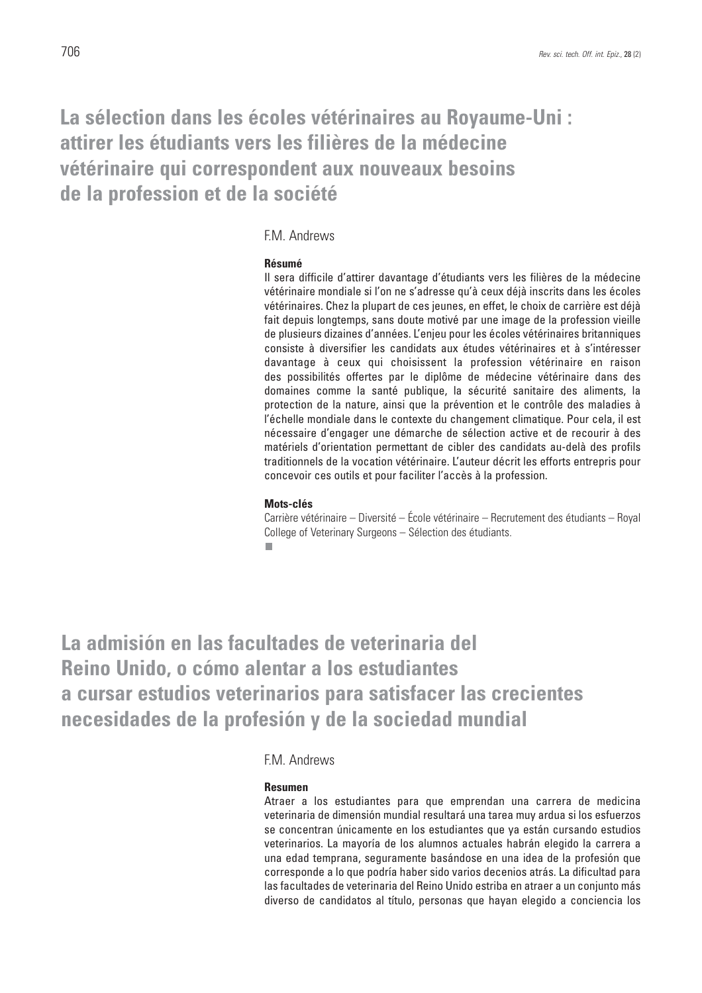### **La sélection dans les écoles vétérinaires au Royaume-Uni : attirer les étudiants vers les filières de la médecine vétérinaire qui correspondent aux nouveaux besoins de la profession et de la société**

### F.M. Andrews

#### **Résumé**

Il sera difficile d'attirer davantage d'étudiants vers les filières de la médecine vétérinaire mondiale si l'on ne s'adresse qu'à ceux déjà inscrits dans les écoles vétérinaires. Chez la plupart de ces jeunes, en effet, le choix de carrière est déjà fait depuis longtemps, sans doute motivé par une image de la profession vieille de plusieurs dizaines d'années. L'enjeu pour les écoles vétérinaires britanniques consiste à diversifier les candidats aux études vétérinaires et à s'intéresser davantage à ceux qui choisissent la profession vétérinaire en raison des possibilités offertes par le diplôme de médecine vétérinaire dans des domaines comme la santé publique, la sécurité sanitaire des aliments, la protection de la nature, ainsi que la prévention et le contrôle des maladies à l'échelle mondiale dans le contexte du changement climatique. Pour cela, il est nécessaire d'engager une démarche de sélection active et de recourir à des matériels d'orientation permettant de cibler des candidats au-delà des profils traditionnels de la vocation vétérinaire. L'auteur décrit les efforts entrepris pour concevoir ces outils et pour faciliter l'accès à la profession.

#### **Mots-clés**

Carrière vétérinaire – Diversité – École vétérinaire – Recrutement des étudiants – Royal College of Veterinary Surgeons – Sélection des étudiants.

**La admisión en las facultades de veterinaria del Reino Unido, o cómo alentar a los estudiantes a cursar estudios veterinarios para satisfacer las crecientes necesidades de la profesión y de la sociedad mundial** 

### F.M. Andrews

#### **Resumen**

Atraer a los estudiantes para que emprendan una carrera de medicina veterinaria de dimensión mundial resultará una tarea muy ardua si los esfuerzos se concentran únicamente en los estudiantes que ya están cursando estudios veterinarios. La mayoría de los alumnos actuales habrán elegido la carrera a una edad temprana, seguramente basándose en una idea de la profesión que corresponde a lo que podría haber sido varios decenios atrás. La dificultad para las facultades de veterinaria del Reino Unido estriba en atraer a un conjunto más diverso de candidatos al título, personas que hayan elegido a conciencia los